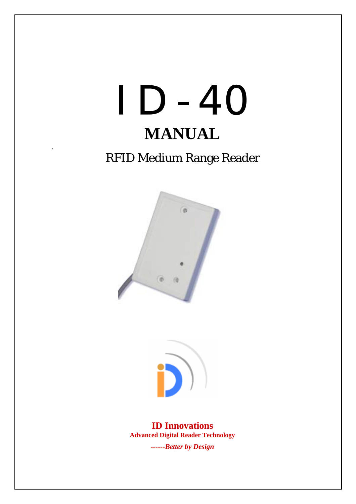

# RFID Medium Range Reader

.





**ID Innovations Advanced Digital Reader Technology** 

*------Better by Design*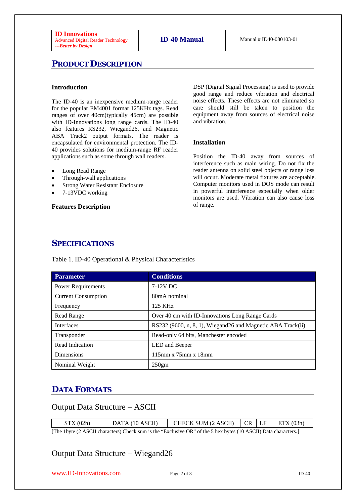## **PRODUCT DESCRIPTION**

#### **Introduction**

The ID-40 is an inexpensive medium-range reader for the popular EM4001 format 125KHz tags. Read ranges of over 40cm(typically 45cm) are possible with ID-Innovations long range cards. The ID-40 also features RS232, Wiegand26, and Magnetic ABA Track2 output formats. The reader is encapsulated for environmental protection. The ID-40 provides solutions for medium-range RF reader applications such as some through wall readers.

- Long Read Range
- Through-wall applications
- **Strong Water Resistant Enclosure**
- 7-13VDC working

**Features Description** 

DSP (Digital Signal Processing) is used to provide good range and reduce vibration and electrical noise effects. These effects are not eliminated so care should still be taken to position the equipment away from sources of electrical noise and vibration.

#### **Installation**

Position the ID-40 away from sources of interference such as main wiring. Do not fix the reader antenna on solid steel objects or range loss will occur. Moderate metal fixtures are acceptable. Computer monitors used in DOS mode can result in powerful interference especially when older monitors are used. Vibration can also cause loss of range.

#### **SPECIFICATIONS**

Table 1. ID-40 Operational & Physical Characteristics

| <b>Parameter</b>           | <b>Conditions</b>                                            |
|----------------------------|--------------------------------------------------------------|
| <b>Power Requirements</b>  | 7-12V DC                                                     |
| <b>Current Consumption</b> | 80mA nominal                                                 |
| Frequency                  | 125 KHz                                                      |
| Read Range                 | Over 40 cm with ID-Innovations Long Range Cards              |
| <b>Interfaces</b>          | RS232 (9600, n, 8, 1), Wiegand 26 and Magnetic ABA Track(ii) |
| Transponder                | Read-only 64 bits, Manchester encoded                        |
| Read Indication            | LED and Beeper                                               |
| Dimensions                 | 115mm x 75mm x 18mm                                          |
| Nominal Weight             | $250$ gm                                                     |

## **DATA FORMATS**

## Output Data Structure – ASCII

| STX(02h)                                                                                                                                                                        | DATA (10 ASCII) | CHECK SUM $(2 ASCII)$ $CR$ $LF$ $ETX (03h)$ |  |  |  |  |  |  |
|---------------------------------------------------------------------------------------------------------------------------------------------------------------------------------|-----------------|---------------------------------------------|--|--|--|--|--|--|
| $\text{FPL}$ , $\text{1}_{\text{total}}$ (0, A COIL shows to see ). Ohe shows in the GE school seed OD) of the $\epsilon$ is so heater (1.0, A COIL) Data shows than $\epsilon$ |                 |                                             |  |  |  |  |  |  |

[The 1byte (2 ASCII characters) Check sum is the "Exclusive OR" of the 5 hex bytes (10 ASCII) Data characters.]

## Output Data Structure – Wiegand26

www.ID-Innovations.com Page 2 of 3 ID-40